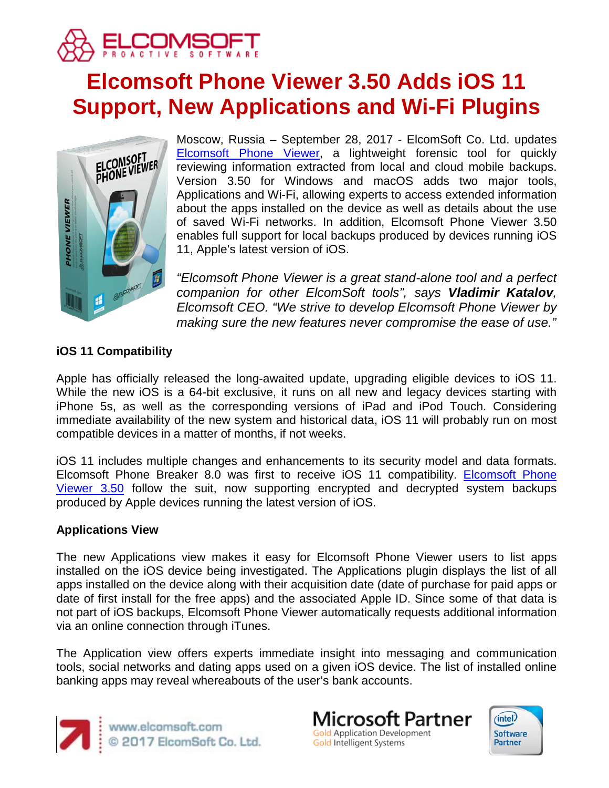

# **Elcomsoft Phone Viewer 3.50 Adds iOS 11 Support, New Applications and Wi-Fi Plugins**



Moscow, Russia – September 28, 2017 - ElcomSoft Co. Ltd. updates [Elcomsoft Phone Viewer,](https://www.elcomsoft.com/epv.html) a lightweight forensic tool for quickly reviewing information extracted from local and cloud mobile backups. Version 3.50 for Windows and macOS adds two major tools, Applications and Wi-Fi, allowing experts to access extended information about the apps installed on the device as well as details about the use of saved Wi-Fi networks. In addition, Elcomsoft Phone Viewer 3.50 enables full support for local backups produced by devices running iOS 11, Apple's latest version of iOS.

*"Elcomsoft Phone Viewer is a great stand-alone tool and a perfect companion for other ElcomSoft tools", says Vladimir Katalov, Elcomsoft CEO. "We strive to develop Elcomsoft Phone Viewer by making sure the new features never compromise the ease of use."*

# **iOS 11 Compatibility**

Apple has officially released the long-awaited update, upgrading eligible devices to iOS 11. While the new iOS is a 64-bit exclusive, it runs on all new and legacy devices starting with iPhone 5s, as well as the corresponding versions of iPad and iPod Touch. Considering immediate availability of the new system and historical data, iOS 11 will probably run on most compatible devices in a matter of months, if not weeks.

iOS 11 includes multiple changes and enhancements to its security model and data formats. [Elcomsoft Phone](https://www.elcomsoft.com/epv.html) Breaker 8.0 was first to receive iOS 11 compatibility. **Elcomsoft Phone** [Viewer 3.50](https://www.elcomsoft.com/epv.html) follow the suit, now supporting encrypted and decrypted system backups produced by Apple devices running the latest version of iOS.

## **Applications View**

The new Applications view makes it easy for Elcomsoft Phone Viewer users to list apps installed on the iOS device being investigated. The Applications plugin displays the list of all apps installed on the device along with their acquisition date (date of purchase for paid apps or date of first install for the free apps) and the associated Apple ID. Since some of that data is not part of iOS backups, Elcomsoft Phone Viewer automatically requests additional information via an online connection through iTunes.

The Application view offers experts immediate insight into messaging and communication tools, social networks and dating apps used on a given iOS device. The list of installed online banking apps may reveal whereabouts of the user's bank accounts.



www.elcomsoft.com<br>© 2017 ElcomSoft Co. Ltd.

**Microsoft Partner Gold Application Development** Gold Intelligent Systems